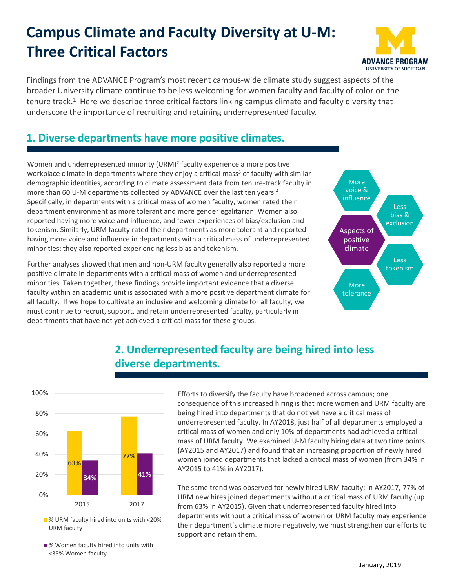## **Campus Climate and Faculty Diversity at U‐M: Three Critical Factors**



Findings from the ADVANCE Program's most recent campus‐wide climate study suggest aspects of the broader University climate continue to be less welcoming for women faculty and faculty of color on the tenure track.<sup>1</sup> Here we describe three critical factors linking campus climate and faculty diversity that underscore the importance of recruiting and retaining underrepresented faculty.

## **1. Diverse departments have more positive climates.**

Women and underrepresented minority (URM)<sup>2</sup> faculty experience a more positive workplace climate in departments where they enjoy a critical mass<sup>3</sup> of faculty with similar demographic identities, according to climate assessment data from tenure‐track faculty in more than 60 U-M departments collected by ADVANCE over the last ten years.<sup>4</sup> Specifically, in departments with a critical mass of women faculty, women rated their department environment as more tolerant and more gender egalitarian. Women also reported having more voice and influence, and fewer experiences of bias/exclusion and tokenism. Similarly, URM faculty rated their departments as more tolerant and reported having more voice and influence in departments with a critical mass of underrepresented minorities; they also reported experiencing less bias and tokenism.

Further analyses showed that men and non‐URM faculty generally also reported a more positive climate in departments with a critical mass of women and underrepresented minorities. Taken together, these findings provide important evidence that a diverse faculty within an academic unit is associated with a more positive department climate for all faculty. If we hope to cultivate an inclusive and welcoming climate for all faculty, we must continue to recruit, support, and retain underrepresented faculty, particularly in departments that have not yet achieved a critical mass for these groups.



## **2. Underrepresented faculty are being hired into less diverse departments.**



■ % URM faculty hired into units with <20% URM faculty

■% Women faculty hired into units with <35% Women faculty

Efforts to diversify the faculty have broadened across campus; one consequence of this increased hiring is that more women and URM faculty are being hired into departments that do not yet have a critical mass of underrepresented faculty. In AY2018, just half of all departments employed a critical mass of women and only 10% of departments had achieved a critical mass of URM faculty. We examined U‐M faculty hiring data at two time points (AY2015 and AY2017) and found that an increasing proportion of newly hired women joined departments that lacked a critical mass of women (from 34% in AY2015 to 41% in AY2017).

The same trend was observed for newly hired URM faculty: in AY2017, 77% of URM new hires joined departments without a critical mass of URM faculty (up from 63% in AY2015). Given that underrepresented faculty hired into departments without a critical mass of women or URM faculty may experience their department's climate more negatively, we must strengthen our efforts to support and retain them.